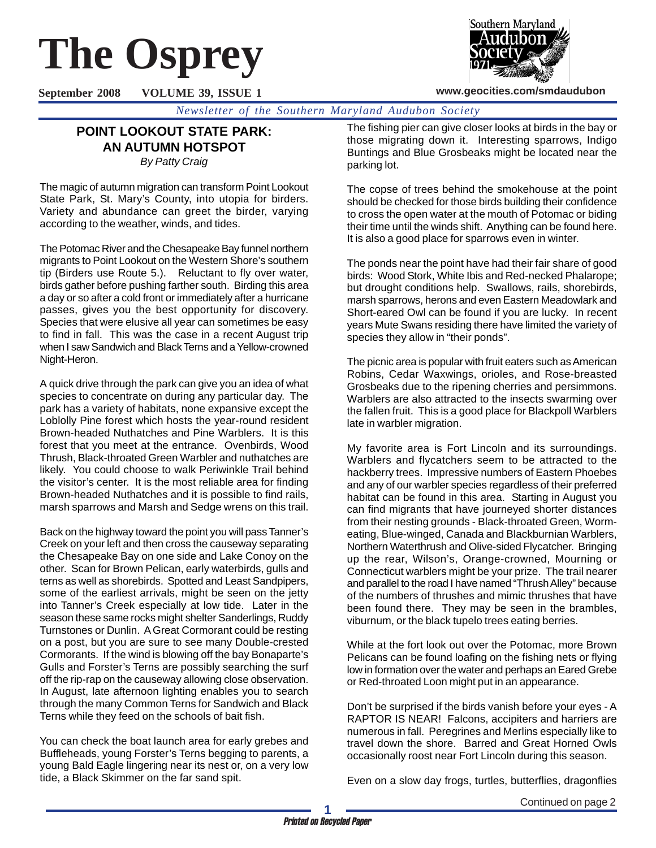# **The Osprey**



**www.geocities.com/smdaudubon**

**September 2008 VOLUME 39, ISSUE 1**

*Newsletter of the Southern Maryland Audubon Society*

# **POINT LOOKOUT STATE PARK: AN AUTUMN HOTSPOT** *By Patty Craig*

The magic of autumn migration can transform Point Lookout State Park, St. Mary's County, into utopia for birders. Variety and abundance can greet the birder, varying according to the weather, winds, and tides.

The Potomac River and the Chesapeake Bay funnel northern migrants to Point Lookout on the Western Shore's southern tip (Birders use Route 5.). Reluctant to fly over water, birds gather before pushing farther south. Birding this area a day or so after a cold front or immediately after a hurricane passes, gives you the best opportunity for discovery. Species that were elusive all year can sometimes be easy to find in fall. This was the case in a recent August trip when I saw Sandwich and Black Terns and a Yellow-crowned Night-Heron.

A quick drive through the park can give you an idea of what species to concentrate on during any particular day. The park has a variety of habitats, none expansive except the Loblolly Pine forest which hosts the year-round resident Brown-headed Nuthatches and Pine Warblers. It is this forest that you meet at the entrance. Ovenbirds, Wood Thrush, Black-throated Green Warbler and nuthatches are likely. You could choose to walk Periwinkle Trail behind the visitor's center. It is the most reliable area for finding Brown-headed Nuthatches and it is possible to find rails, marsh sparrows and Marsh and Sedge wrens on this trail.

Back on the highway toward the point you will pass Tanner's Creek on your left and then cross the causeway separating the Chesapeake Bay on one side and Lake Conoy on the other. Scan for Brown Pelican, early waterbirds, gulls and terns as well as shorebirds. Spotted and Least Sandpipers, some of the earliest arrivals, might be seen on the jetty into Tanner's Creek especially at low tide. Later in the season these same rocks might shelter Sanderlings, Ruddy Turnstones or Dunlin. A Great Cormorant could be resting on a post, but you are sure to see many Double-crested Cormorants. If the wind is blowing off the bay Bonaparte's Gulls and Forster's Terns are possibly searching the surf off the rip-rap on the causeway allowing close observation. In August, late afternoon lighting enables you to search through the many Common Terns for Sandwich and Black Terns while they feed on the schools of bait fish.

You can check the boat launch area for early grebes and Buffleheads, young Forster's Terns begging to parents, a young Bald Eagle lingering near its nest or, on a very low tide, a Black Skimmer on the far sand spit.

The fishing pier can give closer looks at birds in the bay or those migrating down it. Interesting sparrows, Indigo Buntings and Blue Grosbeaks might be located near the parking lot.

The copse of trees behind the smokehouse at the point should be checked for those birds building their confidence to cross the open water at the mouth of Potomac or biding their time until the winds shift. Anything can be found here. It is also a good place for sparrows even in winter.

The ponds near the point have had their fair share of good birds: Wood Stork, White Ibis and Red-necked Phalarope; but drought conditions help. Swallows, rails, shorebirds, marsh sparrows, herons and even Eastern Meadowlark and Short-eared Owl can be found if you are lucky. In recent years Mute Swans residing there have limited the variety of species they allow in "their ponds".

The picnic area is popular with fruit eaters such as American Robins, Cedar Waxwings, orioles, and Rose-breasted Grosbeaks due to the ripening cherries and persimmons. Warblers are also attracted to the insects swarming over the fallen fruit. This is a good place for Blackpoll Warblers late in warbler migration.

My favorite area is Fort Lincoln and its surroundings. Warblers and flycatchers seem to be attracted to the hackberry trees. Impressive numbers of Eastern Phoebes and any of our warbler species regardless of their preferred habitat can be found in this area. Starting in August you can find migrants that have journeyed shorter distances from their nesting grounds - Black-throated Green, Wormeating, Blue-winged, Canada and Blackburnian Warblers, Northern Waterthrush and Olive-sided Flycatcher. Bringing up the rear, Wilson's, Orange-crowned, Mourning or Connecticut warblers might be your prize. The trail nearer and parallel to the road I have named "Thrush Alley" because of the numbers of thrushes and mimic thrushes that have been found there. They may be seen in the brambles, viburnum, or the black tupelo trees eating berries.

While at the fort look out over the Potomac, more Brown Pelicans can be found loafing on the fishing nets or flying low in formation over the water and perhaps an Eared Grebe or Red-throated Loon might put in an appearance.

Don't be surprised if the birds vanish before your eyes - A RAPTOR IS NEAR! Falcons, accipiters and harriers are numerous in fall. Peregrines and Merlins especially like to travel down the shore. Barred and Great Horned Owls occasionally roost near Fort Lincoln during this season.

Even on a slow day frogs, turtles, butterflies, dragonflies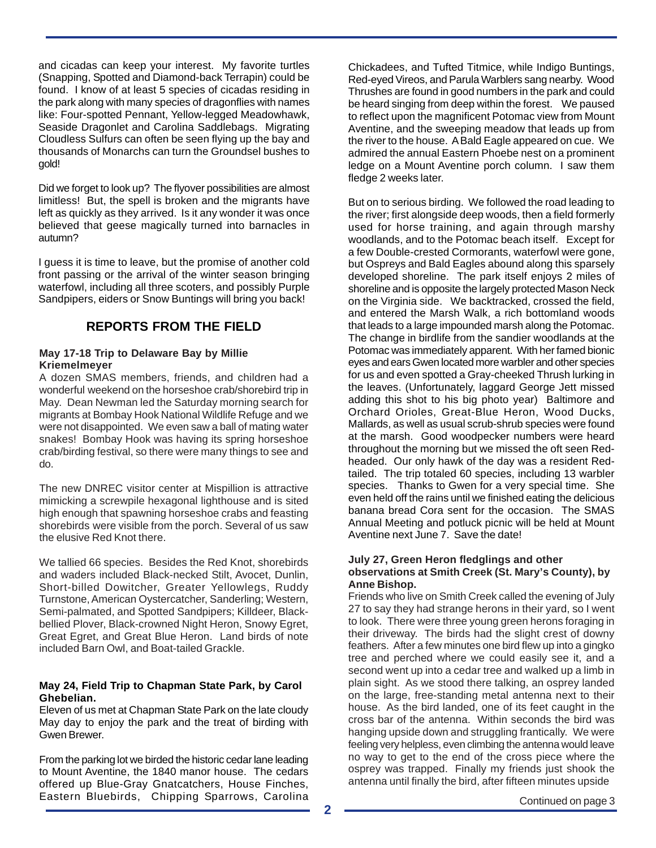and cicadas can keep your interest. My favorite turtles (Snapping, Spotted and Diamond-back Terrapin) could be found. I know of at least 5 species of cicadas residing in the park along with many species of dragonflies with names like: Four-spotted Pennant, Yellow-legged Meadowhawk, Seaside Dragonlet and Carolina Saddlebags. Migrating Cloudless Sulfurs can often be seen flying up the bay and thousands of Monarchs can turn the Groundsel bushes to gold!

Did we forget to look up? The flyover possibilities are almost limitless! But, the spell is broken and the migrants have left as quickly as they arrived. Is it any wonder it was once believed that geese magically turned into barnacles in autumn?

I guess it is time to leave, but the promise of another cold front passing or the arrival of the winter season bringing waterfowl, including all three scoters, and possibly Purple Sandpipers, eiders or Snow Buntings will bring you back!

# **REPORTS FROM THE FIELD**

## **May 17-18 Trip to Delaware Bay by Millie Kriemelmeyer**

A dozen SMAS members, friends, and children had a wonderful weekend on the horseshoe crab/shorebird trip in May. Dean Newman led the Saturday morning search for migrants at Bombay Hook National Wildlife Refuge and we were not disappointed. We even saw a ball of mating water snakes! Bombay Hook was having its spring horseshoe crab/birding festival, so there were many things to see and do.

The new DNREC visitor center at Mispillion is attractive mimicking a screwpile hexagonal lighthouse and is sited high enough that spawning horseshoe crabs and feasting shorebirds were visible from the porch. Several of us saw the elusive Red Knot there.

We tallied 66 species. Besides the Red Knot, shorebirds and waders included Black-necked Stilt, Avocet, Dunlin, Short-billed Dowitcher, Greater Yellowlegs, Ruddy Turnstone, American Oystercatcher, Sanderling; Western, Semi-palmated, and Spotted Sandpipers; Killdeer, Blackbellied Plover, Black-crowned Night Heron, Snowy Egret, Great Egret, and Great Blue Heron. Land birds of note included Barn Owl, and Boat-tailed Grackle.

### **May 24, Field Trip to Chapman State Park, by Carol Ghebelian.**

Eleven of us met at Chapman State Park on the late cloudy May day to enjoy the park and the treat of birding with Gwen Brewer.

From the parking lot we birded the historic cedar lane leading to Mount Aventine, the 1840 manor house. The cedars offered up Blue-Gray Gnatcatchers, House Finches, Eastern Bluebirds, Chipping Sparrows, Carolina Continued on page 3

Chickadees, and Tufted Titmice, while Indigo Buntings, Red-eyed Vireos, and Parula Warblers sang nearby. Wood Thrushes are found in good numbers in the park and could be heard singing from deep within the forest. We paused to reflect upon the magnificent Potomac view from Mount Aventine, and the sweeping meadow that leads up from the river to the house. A Bald Eagle appeared on cue. We admired the annual Eastern Phoebe nest on a prominent ledge on a Mount Aventine porch column. I saw them fledge 2 weeks later.

But on to serious birding. We followed the road leading to the river; first alongside deep woods, then a field formerly used for horse training, and again through marshy woodlands, and to the Potomac beach itself. Except for a few Double-crested Cormorants, waterfowl were gone, but Ospreys and Bald Eagles abound along this sparsely developed shoreline. The park itself enjoys 2 miles of shoreline and is opposite the largely protected Mason Neck on the Virginia side. We backtracked, crossed the field, and entered the Marsh Walk, a rich bottomland woods that leads to a large impounded marsh along the Potomac. The change in birdlife from the sandier woodlands at the Potomac was immediately apparent. With her famed bionic eyes and ears Gwen located more warbler and other species for us and even spotted a Gray-cheeked Thrush lurking in the leaves. (Unfortunately, laggard George Jett missed adding this shot to his big photo year) Baltimore and Orchard Orioles, Great-Blue Heron, Wood Ducks, Mallards, as well as usual scrub-shrub species were found at the marsh. Good woodpecker numbers were heard throughout the morning but we missed the oft seen Redheaded. Our only hawk of the day was a resident Redtailed. The trip totaled 60 species, including 13 warbler species. Thanks to Gwen for a very special time. She even held off the rains until we finished eating the delicious banana bread Cora sent for the occasion. The SMAS Annual Meeting and potluck picnic will be held at Mount Aventine next June 7. Save the date!

#### **July 27, Green Heron fledglings and other observations at Smith Creek (St. Mary's County), by Anne Bishop.**

Friends who live on Smith Creek called the evening of July 27 to say they had strange herons in their yard, so I went to look. There were three young green herons foraging in their driveway. The birds had the slight crest of downy feathers. After a few minutes one bird flew up into a gingko tree and perched where we could easily see it, and a second went up into a cedar tree and walked up a limb in plain sight. As we stood there talking, an osprey landed on the large, free-standing metal antenna next to their house. As the bird landed, one of its feet caught in the cross bar of the antenna. Within seconds the bird was hanging upside down and struggling frantically. We were feeling very helpless, even climbing the antenna would leave no way to get to the end of the cross piece where the osprey was trapped. Finally my friends just shook the antenna until finally the bird, after fifteen minutes upside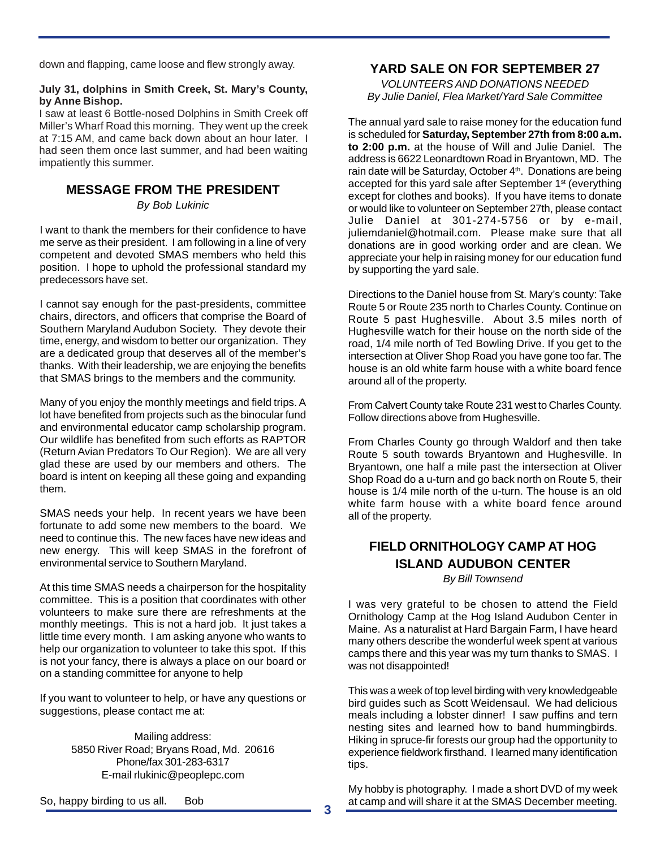down and flapping, came loose and flew strongly away.

#### **July 31, dolphins in Smith Creek, St. Mary's County, by Anne Bishop.**

I saw at least 6 Bottle-nosed Dolphins in Smith Creek off Miller's Wharf Road this morning. They went up the creek at 7:15 AM, and came back down about an hour later. I had seen them once last summer, and had been waiting impatiently this summer.

# **MESSAGE FROM THE PRESIDENT**

*By Bob Lukinic*

I want to thank the members for their confidence to have me serve as their president. I am following in a line of very competent and devoted SMAS members who held this position. I hope to uphold the professional standard my predecessors have set.

I cannot say enough for the past-presidents, committee chairs, directors, and officers that comprise the Board of Southern Maryland Audubon Society. They devote their time, energy, and wisdom to better our organization. They are a dedicated group that deserves all of the member's thanks. With their leadership, we are enjoying the benefits that SMAS brings to the members and the community.

Many of you enjoy the monthly meetings and field trips. A lot have benefited from projects such as the binocular fund and environmental educator camp scholarship program. Our wildlife has benefited from such efforts as RAPTOR (Return Avian Predators To Our Region). We are all very glad these are used by our members and others. The board is intent on keeping all these going and expanding them.

SMAS needs your help. In recent years we have been fortunate to add some new members to the board. We need to continue this. The new faces have new ideas and new energy. This will keep SMAS in the forefront of environmental service to Southern Maryland.

At this time SMAS needs a chairperson for the hospitality committee. This is a position that coordinates with other volunteers to make sure there are refreshments at the monthly meetings. This is not a hard job. It just takes a little time every month. I am asking anyone who wants to help our organization to volunteer to take this spot. If this is not your fancy, there is always a place on our board or on a standing committee for anyone to help

If you want to volunteer to help, or have any questions or suggestions, please contact me at:

> Mailing address: 5850 River Road; Bryans Road, Md. 20616 Phone/fax 301-283-6317 E-mail rlukinic@peoplepc.com

# **YARD SALE ON FOR SEPTEMBER 27**

*VOLUNTEERS AND DONATIONS NEEDED By Julie Daniel, Flea Market/Yard Sale Committee*

The annual yard sale to raise money for the education fund is scheduled for **Saturday, September 27th from 8:00 a.m. to 2:00 p.m.** at the house of Will and Julie Daniel. The address is 6622 Leonardtown Road in Bryantown, MD. The rain date will be Saturday, October 4<sup>th</sup>. Donations are being accepted for this yard sale after September 1<sup>st</sup> (everything except for clothes and books). If you have items to donate or would like to volunteer on September 27th, please contact Julie Daniel at 301-274-5756 or by e-mail, juliemdaniel@hotmail.com. Please make sure that all donations are in good working order and are clean. We appreciate your help in raising money for our education fund by supporting the yard sale.

Directions to the Daniel house from St. Mary's county: Take Route 5 or Route 235 north to Charles County. Continue on Route 5 past Hughesville. About 3.5 miles north of Hughesville watch for their house on the north side of the road, 1/4 mile north of Ted Bowling Drive. If you get to the intersection at Oliver Shop Road you have gone too far. The house is an old white farm house with a white board fence around all of the property.

From Calvert County take Route 231 west to Charles County. Follow directions above from Hughesville.

From Charles County go through Waldorf and then take Route 5 south towards Bryantown and Hughesville. In Bryantown, one half a mile past the intersection at Oliver Shop Road do a u-turn and go back north on Route 5, their house is 1/4 mile north of the u-turn. The house is an old white farm house with a white board fence around all of the property.

## **FIELD ORNITHOLOGY CAMP AT HOG ISLAND AUDUBON CENTER** *By Bill Townsend*

I was very grateful to be chosen to attend the Field Ornithology Camp at the Hog Island Audubon Center in Maine. As a naturalist at Hard Bargain Farm, I have heard many others describe the wonderful week spent at various camps there and this year was my turn thanks to SMAS. I was not disappointed!

This was a week of top level birding with very knowledgeable bird guides such as Scott Weidensaul. We had delicious meals including a lobster dinner! I saw puffins and tern nesting sites and learned how to band hummingbirds. Hiking in spruce-fir forests our group had the opportunity to experience fieldwork firsthand. I learned many identification tips.

My hobby is photography. I made a short DVD of my week at camp and will share it at the SMAS December meeting.

So, happy birding to us all. Bob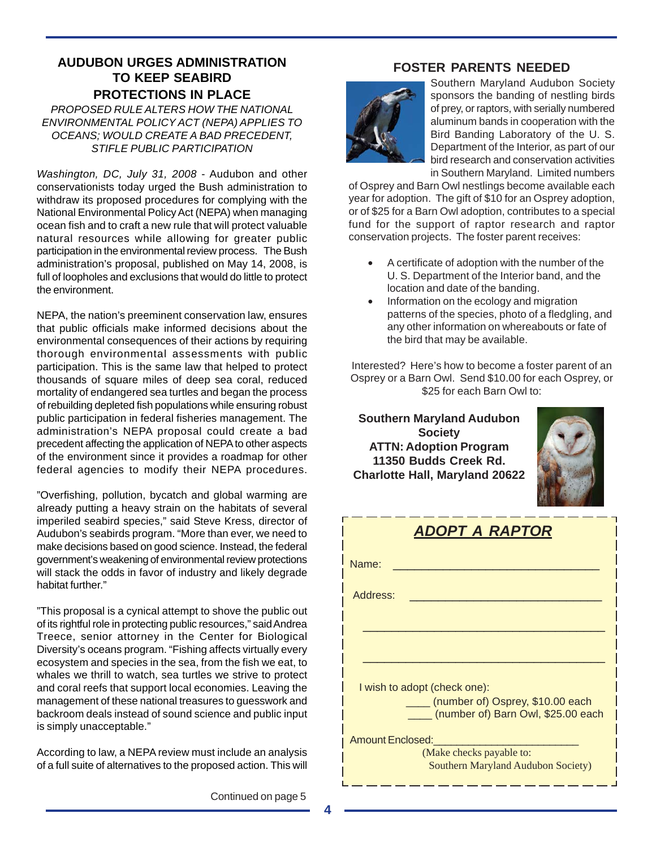## **AUDUBON URGES ADMINISTRATION TO KEEP SEABIRD PROTECTIONS IN PLACE**

*PROPOSED RULE ALTERS HOW THE NATIONAL ENVIRONMENTAL POLICY ACT (NEPA) APPLIES TO OCEANS; WOULD CREATE A BAD PRECEDENT, STIFLE PUBLIC PARTICIPATION*

*Washington, DC, July 31, 2008* - Audubon and other conservationists today urged the Bush administration to withdraw its proposed procedures for complying with the National Environmental Policy Act (NEPA) when managing ocean fish and to craft a new rule that will protect valuable natural resources while allowing for greater public participation in the environmental review process. The Bush administration's proposal, published on May 14, 2008, is full of loopholes and exclusions that would do little to protect the environment.

NEPA, the nation's preeminent conservation law, ensures that public officials make informed decisions about the environmental consequences of their actions by requiring thorough environmental assessments with public participation. This is the same law that helped to protect thousands of square miles of deep sea coral, reduced mortality of endangered sea turtles and began the process of rebuilding depleted fish populations while ensuring robust public participation in federal fisheries management. The administration's NEPA proposal could create a bad precedent affecting the application of NEPA to other aspects of the environment since it provides a roadmap for other federal agencies to modify their NEPA procedures.

"Overfishing, pollution, bycatch and global warming are already putting a heavy strain on the habitats of several imperiled seabird species," said Steve Kress, director of Audubon's seabirds program. "More than ever, we need to make decisions based on good science. Instead, the federal government's weakening of environmental review protections will stack the odds in favor of industry and likely degrade habitat further."

"This proposal is a cynical attempt to shove the public out of its rightful role in protecting public resources," said Andrea Treece, senior attorney in the Center for Biological Diversity's oceans program. "Fishing affects virtually every ecosystem and species in the sea, from the fish we eat, to whales we thrill to watch, sea turtles we strive to protect and coral reefs that support local economies. Leaving the management of these national treasures to guesswork and backroom deals instead of sound science and public input is simply unacceptable."

According to law, a NEPA review must include an analysis of a full suite of alternatives to the proposed action. This will

Continued on page 5

# **FOSTER PARENTS NEEDED**



Southern Maryland Audubon Society sponsors the banding of nestling birds of prey, or raptors, with serially numbered aluminum bands in cooperation with the Bird Banding Laboratory of the U. S. Department of the Interior, as part of our bird research and conservation activities in Southern Maryland. Limited numbers

of Osprey and Barn Owl nestlings become available each year for adoption. The gift of \$10 for an Osprey adoption, or of \$25 for a Barn Owl adoption, contributes to a special fund for the support of raptor research and raptor conservation projects. The foster parent receives:

- A certificate of adoption with the number of the U. S. Department of the Interior band, and the location and date of the banding.
- Information on the ecology and migration patterns of the species, photo of a fledgling, and any other information on whereabouts or fate of the bird that may be available.

Interested? Here's how to become a foster parent of an Osprey or a Barn Owl. Send \$10.00 for each Osprey, or \$25 for each Barn Owl to:

**Southern Maryland Audubon Society ATTN: Adoption Program 11350 Budds Creek Rd. Charlotte Hall, Maryland 20622**



\_\_\_\_\_\_\_\_\_

| ADOPT A RAPTOR                                                         |  |  |  |  |
|------------------------------------------------------------------------|--|--|--|--|
| Name:                                                                  |  |  |  |  |
| Address:                                                               |  |  |  |  |
|                                                                        |  |  |  |  |
|                                                                        |  |  |  |  |
| I wish to adopt (check one):                                           |  |  |  |  |
| (number of) Osprey, \$10.00 each<br>(number of) Barn Owl, \$25.00 each |  |  |  |  |
| <b>Amount Enclosed:</b>                                                |  |  |  |  |
| (Make checks payable to:<br><b>Southern Maryland Audubon Society)</b>  |  |  |  |  |

**4**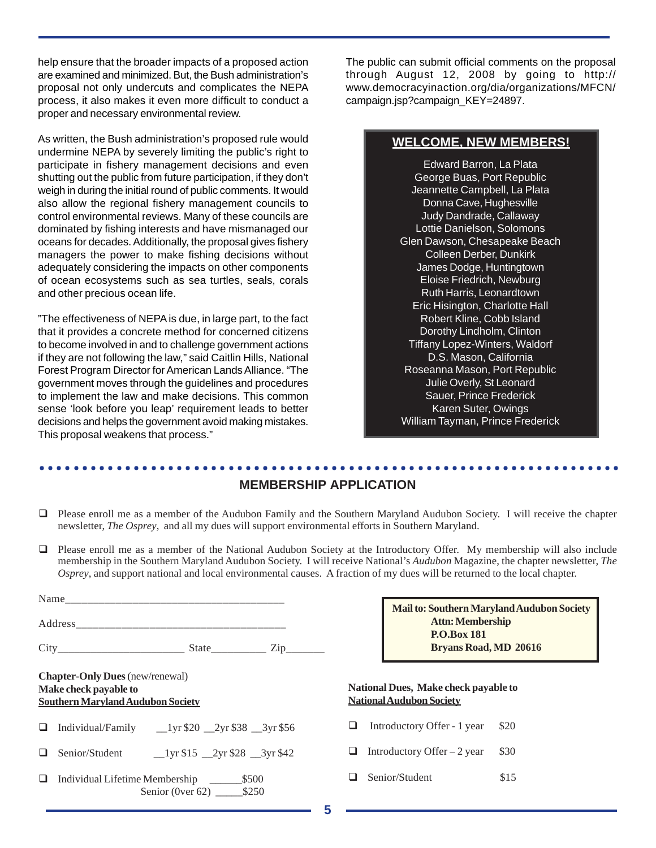help ensure that the broader impacts of a proposed action are examined and minimized. But, the Bush administration's proposal not only undercuts and complicates the NEPA process, it also makes it even more difficult to conduct a proper and necessary environmental review.

As written, the Bush administration's proposed rule would undermine NEPA by severely limiting the public's right to participate in fishery management decisions and even shutting out the public from future participation, if they don't weigh in during the initial round of public comments. It would also allow the regional fishery management councils to control environmental reviews. Many of these councils are dominated by fishing interests and have mismanaged our oceans for decades. Additionally, the proposal gives fishery managers the power to make fishing decisions without adequately considering the impacts on other components of ocean ecosystems such as sea turtles, seals, corals and other precious ocean life.

"The effectiveness of NEPA is due, in large part, to the fact that it provides a concrete method for concerned citizens to become involved in and to challenge government actions if they are not following the law," said Caitlin Hills, National Forest Program Director for American Lands Alliance. "The government moves through the guidelines and procedures to implement the law and make decisions. This common sense 'look before you leap' requirement leads to better decisions and helps the government avoid making mistakes. This proposal weakens that process."

The public can submit official comments on the proposal through August 12, 2008 by going to http:// www.democracyinaction.org/dia/organizations/MFCN/ campaign.jsp?campaign\_KEY=24897.

## **WELCOME, NEW MEMBERS!**

Edward Barron, La Plata George Buas, Port Republic Jeannette Campbell, La Plata Donna Cave, Hughesville Judy Dandrade, Callaway Lottie Danielson, Solomons Glen Dawson, Chesapeake Beach Colleen Derber, Dunkirk James Dodge, Huntingtown Eloise Friedrich, Newburg Ruth Harris, Leonardtown Eric Hisington, Charlotte Hall Robert Kline, Cobb Island Dorothy Lindholm, Clinton Tiffany Lopez-Winters, Waldorf D.S. Mason, California Roseanna Mason, Port Republic Julie Overly, St Leonard Sauer, Prince Frederick Karen Suter, Owings William Tayman, Prince Frederick

#### ○○○○○○○○○○○○○○○○○○○○○○○○○○○○○○○○○○○○○○○○○○○○ ○○○○○○○○○○○○○○○○○○○○○○○○ **MEMBERSHIP APPLICATION**

- Please enroll me as a member of the Audubon Family and the Southern Maryland Audubon Society. I will receive the chapter newsletter, *The Osprey*, and all my dues will support environmental efforts in Southern Maryland.
- Please enroll me as a member of the National Audubon Society at the Introductory Offer. My membership will also include membership in the Southern Maryland Audubon Society. I will receive National's *Audubon* Magazine, the chapter newsletter, *The Osprey*, and support national and local environmental causes. A fraction of my dues will be returned to the local chapter.

|                                                                                                             |    | Ma                                         |
|-------------------------------------------------------------------------------------------------------------|----|--------------------------------------------|
|                                                                                                             |    |                                            |
|                                                                                                             |    |                                            |
| <b>Chapter-Only Dues</b> (new/renewal)<br>Make check payable to<br><b>Southern Maryland Audubon Society</b> |    | <b>National Due</b><br><b>National Aud</b> |
| $\Box$ Individual/Family $\Box$ 1yr \$20 $\Box$ 2yr \$38 $\Box$ 3yr \$56                                    |    | Introduc                                   |
|                                                                                                             | ப  | Introduct                                  |
| Senior (0ver 62) ________ \$250                                                                             | ⊔. | Senior/St                                  |

| Mail to: Southern Maryland Audubon Society |                              |  |  |  |
|--------------------------------------------|------------------------------|--|--|--|
|                                            | <b>Attn: Membership</b>      |  |  |  |
|                                            | <b>P.O.Box 181</b>           |  |  |  |
|                                            | <b>Bryans Road, MD 20616</b> |  |  |  |

### **National Dues, Make check payable to ubon Society**

- $t$ tory Offer 1 year \$20
- $Iory$  Offer 2 year  $$30$
- tudent \$15